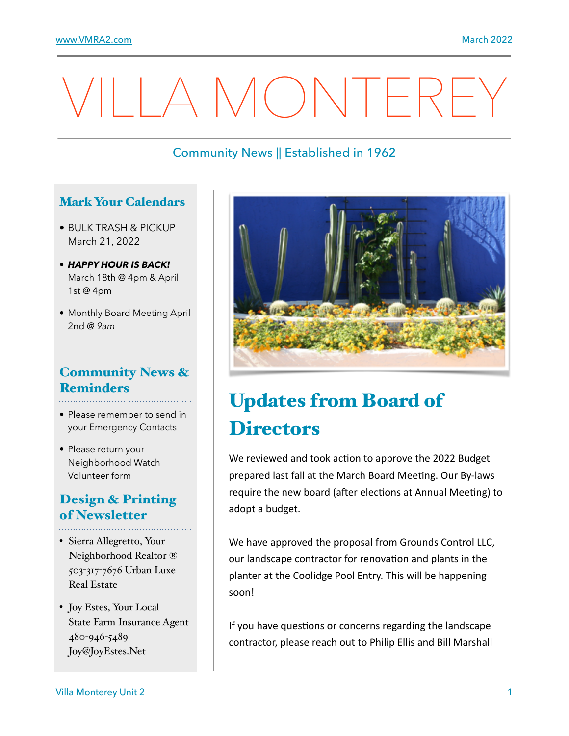# AMONTERE

## Community News || Established in 1962

#### Mark Your Calendars

- • BULK TRASH & PICKUP March 21, 2022
- *HAPPY HOUR IS BACK!* March 18th @ 4pm & April 1st @ 4pm
- Monthly Board Meeting April 2nd *@ 9am*

## Community News & **Reminders**

- Please remember to send in your Emergency Contacts
- Please return your Neighborhood Watch Volunteer form

## Design & Printing of Newsletter

- Sierra Allegretto, Your Neighborhood Realtor ® 503-317-7676 Urban Luxe Real Estate
- Joy Estes, Your Local State Farm Insurance Agent 480-946-5489 Joy@JoyEstes.Net



# Updates from Board of **Directors**

We reviewed and took action to approve the 2022 Budget prepared last fall at the March Board Meeting. Our By-laws require the new board (after elections at Annual Meeting) to adopt a budget.

We have approved the proposal from Grounds Control LLC, our landscape contractor for renovation and plants in the planter at the Coolidge Pool Entry. This will be happening soon!

If you have questions or concerns regarding the landscape contractor, please reach out to Philip Ellis and Bill Marshall